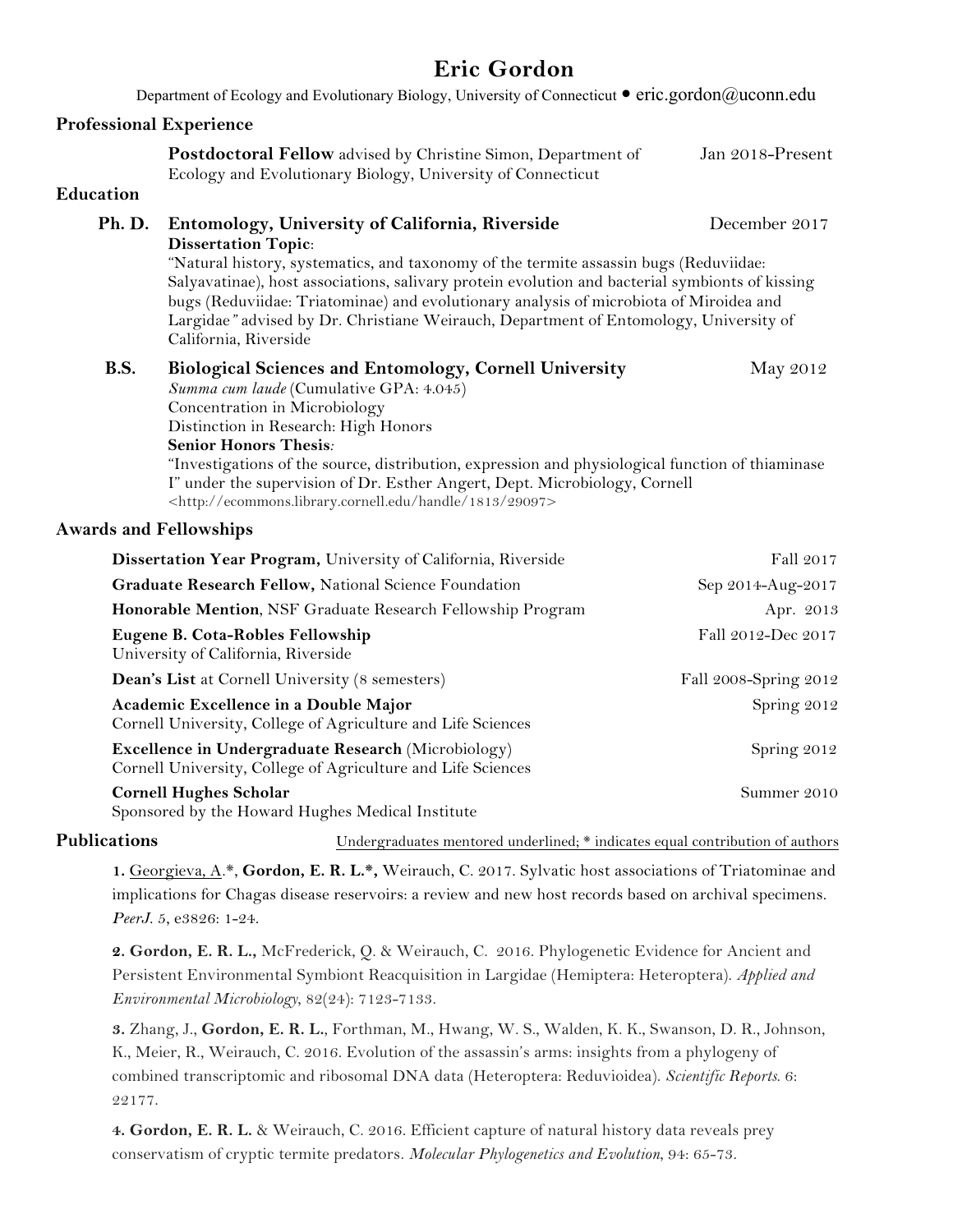## **Eric Gordon**

Department of Ecology and Evolutionary Biology, University of Connecticut  $\bullet$  eric.gordon@uconn.edu **Professional Experience Postdoctoral Fellow** advised by Christine Simon, Department of Jan 2018-Present Ecology and Evolutionary Biology, University of Connecticut **Education Ph. D. Entomology, University of California, Riverside** December 2017 **Dissertation Topic**: "Natural history, systematics, and taxonomy of the termite assassin bugs (Reduviidae: Salyavatinae), host associations, salivary protein evolution and bacterial symbionts of kissing bugs (Reduviidae: Triatominae) and evolutionary analysis of microbiota of Miroidea and Largidae*"* advised by Dr. Christiane Weirauch, Department of Entomology, University of California, Riverside **B.S. Biological Sciences and Entomology, Cornell University** May 2012 *Summa cum laude* (Cumulative GPA: 4.045) Concentration in Microbiology Distinction in Research: High Honors **Senior Honors Thesis***:* "Investigations of the source, distribution, expression and physiological function of thiaminase I" under the supervision of Dr. Esther Angert, Dept. Microbiology, Cornell <http://ecommons.library.cornell.edu/handle/1813/29097> **Awards and Fellowships Dissertation Year Program,** University of California, Riverside Fall 2017

| Dissertation Teal Frogram, University of Camorina, Riversiae                                                        | $1 \, \text{au} \, 2 \, \text{v} \, 1$ |
|---------------------------------------------------------------------------------------------------------------------|----------------------------------------|
| Graduate Research Fellow, National Science Foundation                                                               | Sep 2014-Aug-2017                      |
| Honorable Mention, NSF Graduate Research Fellowship Program                                                         | Apr. 2013                              |
| Eugene B. Cota-Robles Fellowship<br>University of California, Riverside                                             | Fall 2012-Dec 2017                     |
| <b>Dean's List at Cornell University (8 semesters)</b>                                                              | Fall 2008-Spring 2012                  |
| Academic Excellence in a Double Major<br>Cornell University, College of Agriculture and Life Sciences               | Spring 2012                            |
| Excellence in Undergraduate Research (Microbiology)<br>Cornell University, College of Agriculture and Life Sciences | Spring 2012                            |
| <b>Cornell Hughes Scholar</b><br>Sponsored by the Howard Hughes Medical Institute                                   | Summer 2010                            |

Publications **Publications** Undergraduates mentored underlined; \* indicates equal contribution of authors

**1.** Georgieva, A.\*, **Gordon, E. R. L.\*,** Weirauch, C. 2017. Sylvatic host associations of Triatominae and implications for Chagas disease reservoirs: a review and new host records based on archival specimens. *PeerJ*. 5, e3826: 1-24.

**2. Gordon, E. R. L.,** McFrederick, Q. & Weirauch, C. 2016. Phylogenetic Evidence for Ancient and Persistent Environmental Symbiont Reacquisition in Largidae (Hemiptera: Heteroptera). *Applied and Environmental Microbiology*, 82(24): 7123-7133.

**3.** Zhang, J., **Gordon, E. R. L.**, Forthman, M., Hwang, W. S., Walden, K. K., Swanson, D. R., Johnson, K., Meier, R., Weirauch, C. 2016. Evolution of the assassin's arms: insights from a phylogeny of combined transcriptomic and ribosomal DNA data (Heteroptera: Reduvioidea). *Scientific Reports*. 6: 22177.

**4. Gordon, E. R. L.** & Weirauch, C. 2016. Efficient capture of natural history data reveals prey conservatism of cryptic termite predators. *Molecular Phylogenetics and Evolution*, 94: 65-73.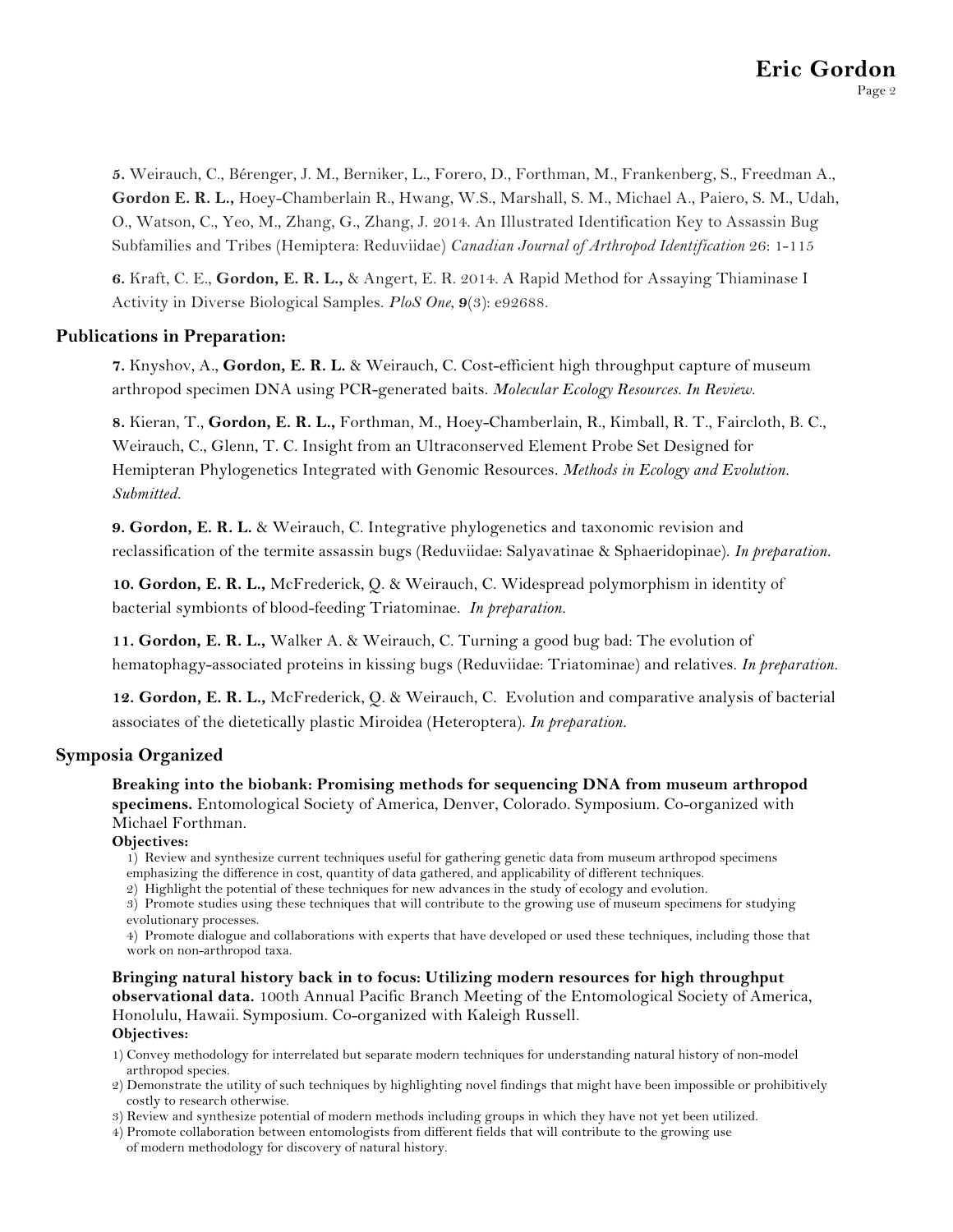**5.** Weirauch, C., Bérenger, J. M., Berniker, L., Forero, D., Forthman, M., Frankenberg, S., Freedman A., **Gordon E. R. L.,** Hoey-Chamberlain R., Hwang, W.S., Marshall, S. M., Michael A., Paiero, S. M., Udah, O., Watson, C., Yeo, M., Zhang, G., Zhang, J. 2014. An Illustrated Identification Key to Assassin Bug Subfamilies and Tribes (Hemiptera: Reduviidae) *Canadian Journal of Arthropod Identification* 26: 1-115

**6.** Kraft, C. E., **Gordon, E. R. L.,** & Angert, E. R. 2014. A Rapid Method for Assaying Thiaminase I Activity in Diverse Biological Samples. *PloS One*, **9**(3): e92688.

#### **Publications in Preparation:**

**7.** Knyshov, A., **Gordon, E. R. L.** & Weirauch, C. Cost-efficient high throughput capture of museum arthropod specimen DNA using PCR-generated baits. *Molecular Ecology Resources. In Review.*

**8.** Kieran, T., **Gordon, E. R. L.,** Forthman, M., Hoey-Chamberlain, R., Kimball, R. T., Faircloth, B. C., Weirauch, C., Glenn, T. C. Insight from an Ultraconserved Element Probe Set Designed for Hemipteran Phylogenetics Integrated with Genomic Resources. *Methods in Ecology and Evolution. Submitted.*

**9. Gordon, E. R. L.** & Weirauch, C. Integrative phylogenetics and taxonomic revision and reclassification of the termite assassin bugs (Reduviidae: Salyavatinae & Sphaeridopinae). *In preparation.*

**10. Gordon, E. R. L.,** McFrederick, Q. & Weirauch, C. Widespread polymorphism in identity of bacterial symbionts of blood-feeding Triatominae. *In preparation.*

**11. Gordon, E. R. L.,** Walker A. & Weirauch, C. Turning a good bug bad: The evolution of hematophagy-associated proteins in kissing bugs (Reduviidae: Triatominae) and relatives. *In preparation.*

**12. Gordon, E. R. L.,** McFrederick, Q. & Weirauch, C. Evolution and comparative analysis of bacterial associates of the dietetically plastic Miroidea (Heteroptera). *In preparation.*

#### **Symposia Organized**

**Breaking into the biobank: Promising methods for sequencing DNA from museum arthropod specimens.** Entomological Society of America, Denver, Colorado. Symposium. Co-organized with Michael Forthman.

#### **Objectives:**

1) Review and synthesize current techniques useful for gathering genetic data from museum arthropod specimens emphasizing the difference in cost, quantity of data gathered, and applicability of different techniques.

2) Highlight the potential of these techniques for new advances in the study of ecology and evolution.

3) Promote studies using these techniques that will contribute to the growing use of museum specimens for studying evolutionary processes.

4) Promote dialogue and collaborations with experts that have developed or used these techniques, including those that work on non-arthropod taxa.

**Bringing natural history back in to focus: Utilizing modern resources for high throughput observational data.** 100th Annual Pacific Branch Meeting of the Entomological Society of America, Honolulu, Hawaii. Symposium. Co-organized with Kaleigh Russell. **Objectives:**

1) Convey methodology for interrelated but separate modern techniques for understanding natural history of non-model arthropod species.

2) Demonstrate the utility of such techniques by highlighting novel findings that might have been impossible or prohibitively costly to research otherwise.

3) Review and synthesize potential of modern methods including groups in which they have not yet been utilized.

4) Promote collaboration between entomologists from different fields that will contribute to the growing use of modern methodology for discovery of natural history.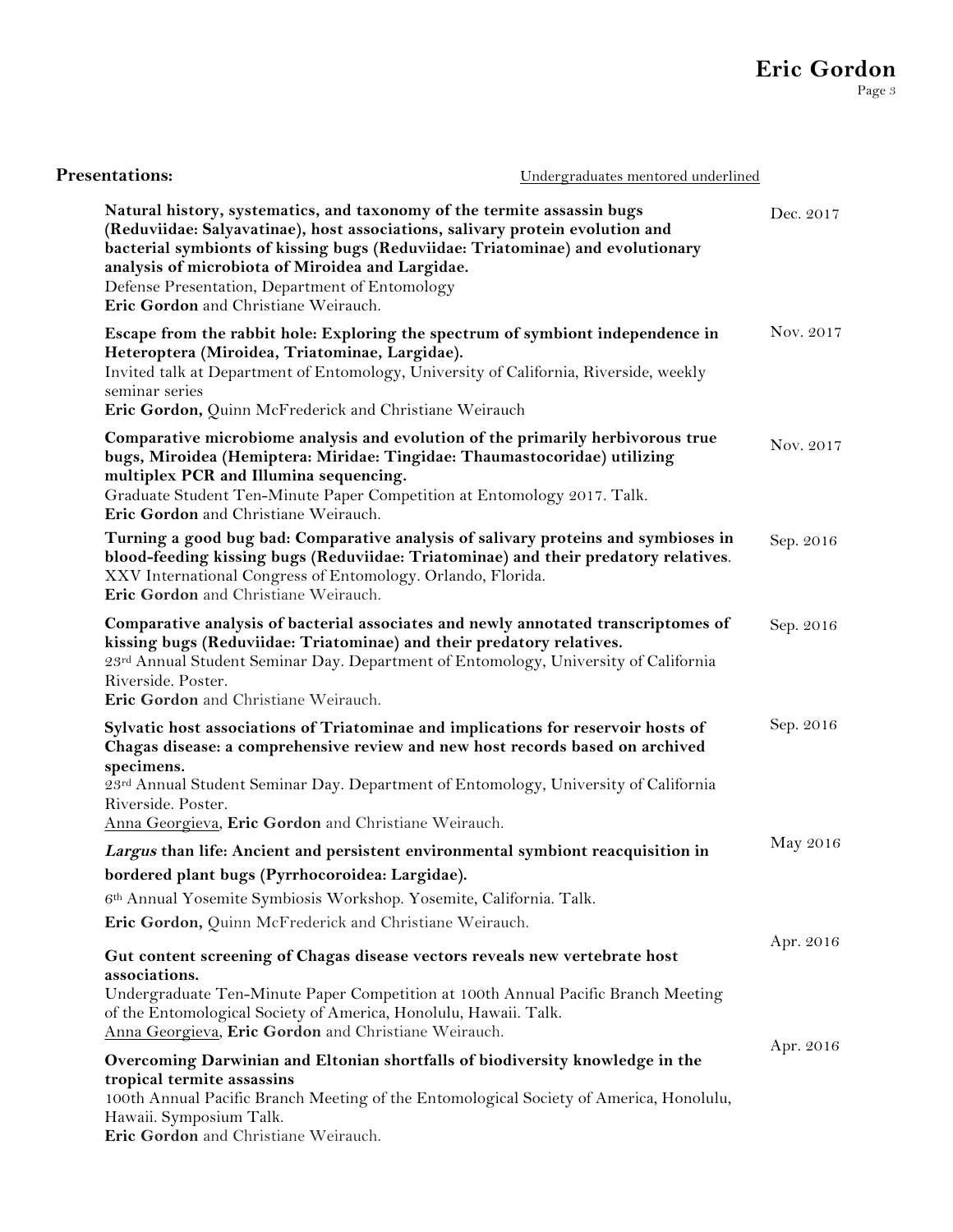| <b>Presentations:</b>                                                                                                                                                                                                                                                                                                                                                                    | Undergraduates mentored underlined |           |
|------------------------------------------------------------------------------------------------------------------------------------------------------------------------------------------------------------------------------------------------------------------------------------------------------------------------------------------------------------------------------------------|------------------------------------|-----------|
| Natural history, systematics, and taxonomy of the termite assassin bugs<br>(Reduviidae: Salyavatinae), host associations, salivary protein evolution and<br>bacterial symbionts of kissing bugs (Reduviidae: Triatominae) and evolutionary<br>analysis of microbiota of Miroidea and Largidae.<br>Defense Presentation, Department of Entomology<br>Eric Gordon and Christiane Weirauch. |                                    | Dec. 2017 |
| Escape from the rabbit hole: Exploring the spectrum of symbiont independence in<br>Heteroptera (Miroidea, Triatominae, Largidae).<br>Invited talk at Department of Entomology, University of California, Riverside, weekly<br>seminar series<br>Eric Gordon, Quinn McFrederick and Christiane Weirauch                                                                                   |                                    | Nov. 2017 |
| Comparative microbiome analysis and evolution of the primarily herbivorous true<br>bugs, Miroidea (Hemiptera: Miridae: Tingidae: Thaumastocoridae) utilizing<br>multiplex PCR and Illumina sequencing.<br>Graduate Student Ten-Minute Paper Competition at Entomology 2017. Talk.<br>Eric Gordon and Christiane Weirauch.                                                                |                                    | Nov. 2017 |
| Turning a good bug bad: Comparative analysis of salivary proteins and symbioses in<br>blood-feeding kissing bugs (Reduviidae: Triatominae) and their predatory relatives.<br>XXV International Congress of Entomology. Orlando, Florida.<br>Eric Gordon and Christiane Weirauch.                                                                                                         |                                    | Sep. 2016 |
| Comparative analysis of bacterial associates and newly annotated transcriptomes of<br>kissing bugs (Reduviidae: Triatominae) and their predatory relatives.<br>23rd Annual Student Seminar Day. Department of Entomology, University of California<br>Riverside. Poster.<br>Eric Gordon and Christiane Weirauch.                                                                         |                                    | Sep. 2016 |
| Sylvatic host associations of Triatominae and implications for reservoir hosts of<br>Chagas disease: a comprehensive review and new host records based on archived<br>specimens.<br>23rd Annual Student Seminar Day. Department of Entomology, University of California<br>Riverside. Poster.                                                                                            |                                    | Sep. 2016 |
| Anna Georgieva, Eric Gordon and Christiane Weirauch.<br>Largus than life: Ancient and persistent environmental symbiont reacquisition in<br>bordered plant bugs (Pyrrhocoroidea: Largidae).                                                                                                                                                                                              |                                    | May 2016  |
| 6th Annual Yosemite Symbiosis Workshop. Yosemite, California. Talk.<br>Eric Gordon, Quinn McFrederick and Christiane Weirauch.                                                                                                                                                                                                                                                           |                                    |           |
| Gut content screening of Chagas disease vectors reveals new vertebrate host<br>associations.                                                                                                                                                                                                                                                                                             |                                    | Apr. 2016 |
| Undergraduate Ten-Minute Paper Competition at 100th Annual Pacific Branch Meeting<br>of the Entomological Society of America, Honolulu, Hawaii. Talk.<br>Anna Georgieva, Eric Gordon and Christiane Weirauch.                                                                                                                                                                            |                                    |           |
| Overcoming Darwinian and Eltonian shortfalls of biodiversity knowledge in the<br>tropical termite assassins<br>100th Annual Pacific Branch Meeting of the Entomological Society of America, Honolulu,<br>Hawaii. Symposium Talk.                                                                                                                                                         |                                    | Apr. 2016 |

**Eric Gordon** and Christiane Weirauch.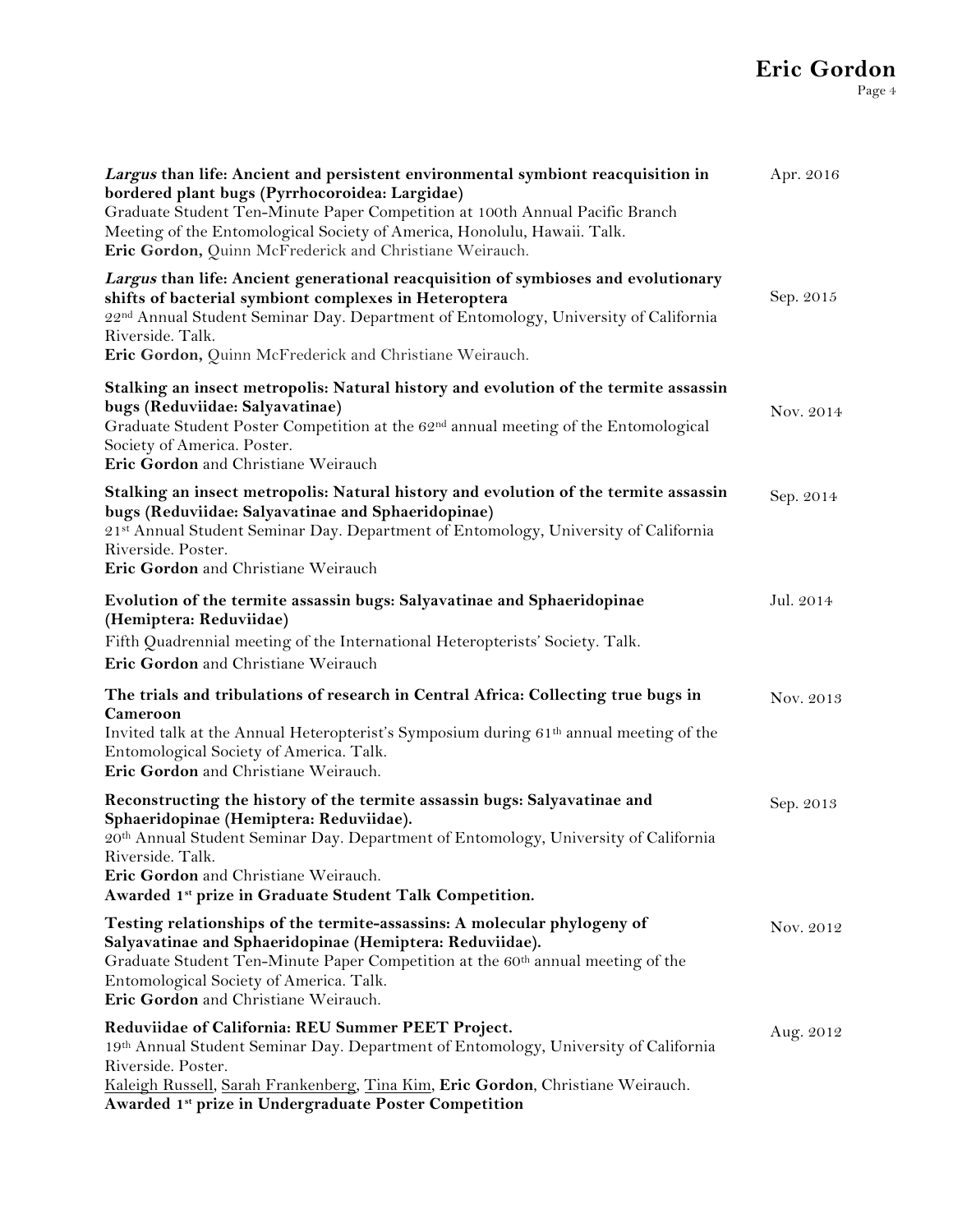# **Eric Gordon**

| Largus than life: Ancient and persistent environmental symbiont reacquisition in<br>bordered plant bugs (Pyrrhocoroidea: Largidae)<br>Graduate Student Ten-Minute Paper Competition at 100th Annual Pacific Branch<br>Meeting of the Entomological Society of America, Honolulu, Hawaii. Talk.<br>Eric Gordon, Quinn McFrederick and Christiane Weirauch. | Apr. 2016 |
|-----------------------------------------------------------------------------------------------------------------------------------------------------------------------------------------------------------------------------------------------------------------------------------------------------------------------------------------------------------|-----------|
| Largus than life: Ancient generational reacquisition of symbioses and evolutionary<br>shifts of bacterial symbiont complexes in Heteroptera<br>22nd Annual Student Seminar Day. Department of Entomology, University of California<br>Riverside. Talk.<br>Eric Gordon, Quinn McFrederick and Christiane Weirauch.                                         | Sep. 2015 |
| Stalking an insect metropolis: Natural history and evolution of the termite assassin<br>bugs (Reduviidae: Salyavatinae)<br>Graduate Student Poster Competition at the 62 <sup>nd</sup> annual meeting of the Entomological<br>Society of America. Poster.<br>Eric Gordon and Christiane Weirauch                                                          | Nov. 2014 |
| Stalking an insect metropolis: Natural history and evolution of the termite assassin<br>bugs (Reduviidae: Salyavatinae and Sphaeridopinae)<br>21st Annual Student Seminar Day. Department of Entomology, University of California<br>Riverside. Poster.<br>Eric Gordon and Christiane Weirauch                                                            | Sep. 2014 |
| Evolution of the termite assassin bugs: Salyavatinae and Sphaeridopinae<br>(Hemiptera: Reduviidae)<br>Fifth Quadrennial meeting of the International Heteropterists' Society. Talk.<br>Eric Gordon and Christiane Weirauch                                                                                                                                | Jul. 2014 |
| The trials and tribulations of research in Central Africa: Collecting true bugs in<br>Cameroon<br>Invited talk at the Annual Heteropterist's Symposium during 61 <sup>th</sup> annual meeting of the<br>Entomological Society of America. Talk.<br>Eric Gordon and Christiane Weirauch.                                                                   | Nov. 2013 |
| Reconstructing the history of the termite assassin bugs: Salyavatinae and<br>Sphaeridopinae (Hemiptera: Reduviidae).<br>20th Annual Student Seminar Day. Department of Entomology, University of California<br>Riverside. Talk.<br>Eric Gordon and Christiane Weirauch.<br>Awarded 1st prize in Graduate Student Talk Competition.                        | Sep. 2013 |
| Testing relationships of the termite-assassins: A molecular phylogeny of<br>Salyavatinae and Sphaeridopinae (Hemiptera: Reduviidae).<br>Graduate Student Ten-Minute Paper Competition at the 60 <sup>th</sup> annual meeting of the<br>Entomological Society of America. Talk.<br>Eric Gordon and Christiane Weirauch.                                    | Nov. 2012 |
| Reduviidae of California: REU Summer PEET Project.<br>19th Annual Student Seminar Day. Department of Entomology, University of California<br>Riverside. Poster.<br>Kaleigh Russell, Sarah Frankenberg, Tina Kim, Eric Gordon, Christiane Weirauch.<br>Awarded 1st prize in Undergraduate Poster Competition                                               | Aug. 2012 |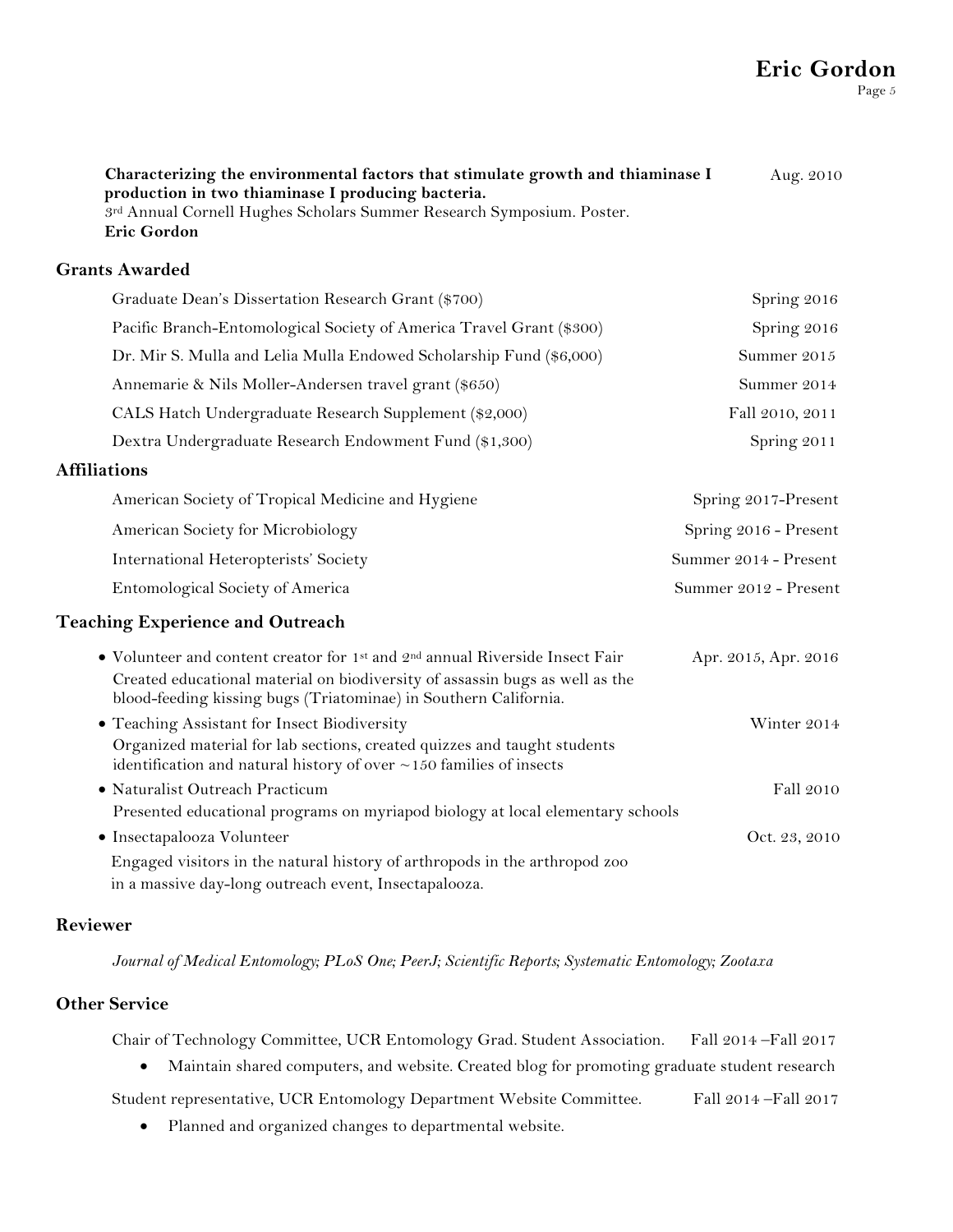**Characterizing the environmental factors that stimulate growth and thiaminase I production in two thiaminase I producing bacteria.** 3rd Annual Cornell Hughes Scholars Summer Research Symposium. Poster. **Eric Gordon** Aug. 2010 **Grants Awarded** Graduate Dean's Dissertation Research Grant (\$700) Spring 2016 Pacific Branch-Entomological Society of America Travel Grant (\$300) Spring 2016 Dr. Mir S. Mulla and Lelia Mulla Endowed Scholarship Fund (\$6,000)Summer 2015 Annemarie & Nils Moller-Andersen travel grant (\$650) Summer 2014 CALS Hatch Undergraduate Research Supplement (\$2,000) Fall 2010, 2011 Dextra Undergraduate Research Endowment Fund (\$1,300) Spring 2011 **Affiliations** American Society of Tropical Medicine and Hygiene Spring 2017-Present American Society for Microbiology Spring 2016 - Present International Heteropterists' Society Summer 2014 - Present Entomological Society of America Summer 2012 - Present **Teaching Experience and Outreach** • Volunteer and content creator for 1<sup>st</sup> and 2<sup>nd</sup> annual Riverside Insect Fair Apr. 2015, Apr. 2016 Created educational material on biodiversity of assassin bugs as well as the blood-feeding kissing bugs (Triatominae) in Southern California. • Teaching Assistant for Insect Biodiversity Winter 2014 Organized material for lab sections, created quizzes and taught students identification and natural history of over  $\sim$  150 families of insects • Naturalist Outreach Practicum Fall 2010 Presented educational programs on myriapod biology at local elementary schools • Insectapalooza Volunteer Oct. 23, 2010 Engaged visitors in the natural history of arthropods in the arthropod zoo in a massive day-long outreach event, Insectapalooza.

#### **Reviewer**

*Journal of Medical Entomology; PLoS One; PeerJ; Scientific Reports; Systematic Entomology; Zootaxa*

#### **Other Service**

Chair of Technology Committee, UCR Entomology Grad. Student Association. Fall 2014 –Fall 2017

• Maintain shared computers, and website. Created blog for promoting graduate student research

Student representative, UCR Entomology Department Website Committee. Fall 2014 –Fall 2017

• Planned and organized changes to departmental website.